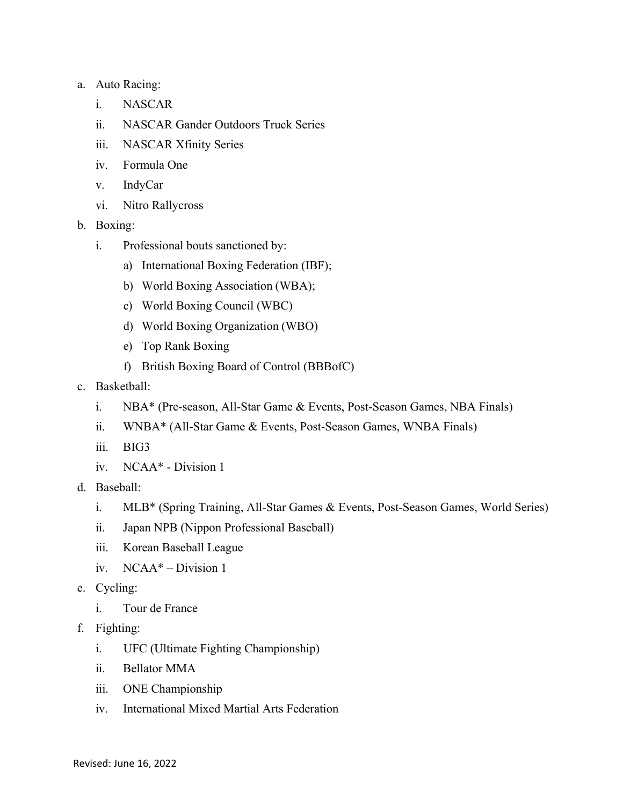## a. Auto Racing:

- i. NASCAR
- ii. NASCAR Gander Outdoors Truck Series
- iii. NASCAR Xfinity Series
- iv. Formula One
- v. IndyCar
- vi. Nitro Rallycross
- b. Boxing:
	- i. Professional bouts sanctioned by:
		- a) International Boxing Federation (IBF);
		- b) World Boxing Association (WBA);
		- c) World Boxing Council (WBC)
		- d) World Boxing Organization (WBO)
		- e) Top Rank Boxing
		- f) British Boxing Board of Control (BBBofC)
- c. Basketball:
	- i. NBA\* (Pre-season, All-Star Game & Events, Post-Season Games, NBA Finals)
	- ii. WNBA\* (All-Star Game & Events, Post-Season Games, WNBA Finals)
	- iii. BIG3
	- iv. NCAA\* Division 1
- d. Baseball:
	- i. MLB\* (Spring Training, All-Star Games & Events, Post-Season Games, World Series)
	- ii. Japan NPB (Nippon Professional Baseball)
	- iii. Korean Baseball League
	- iv. NCAA\* Division 1
- e. Cycling:
	- i. Tour de France
- f. Fighting:
	- i. UFC (Ultimate Fighting Championship)
	- ii. Bellator MMA
	- iii. ONE Championship
	- iv. International Mixed Martial Arts Federation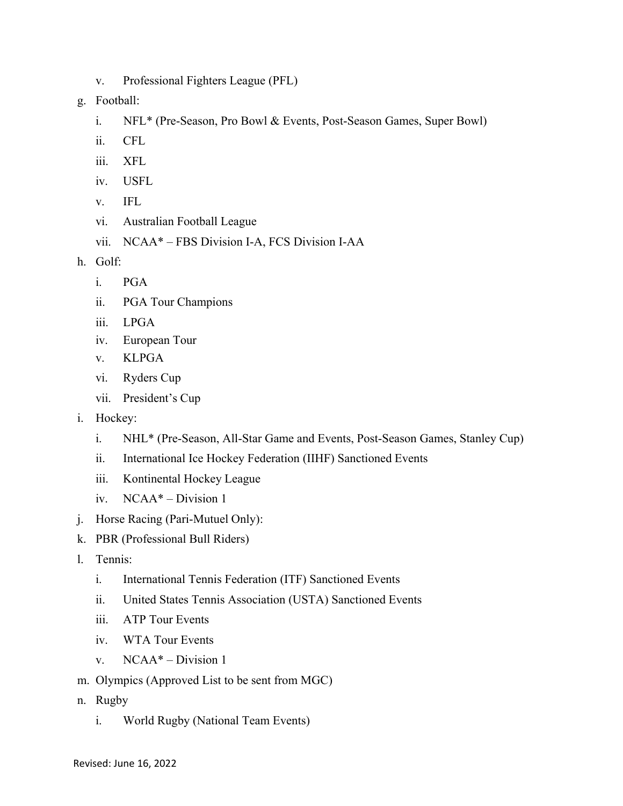- v. Professional Fighters League (PFL)
- g. Football:
	- i. NFL\* (Pre-Season, Pro Bowl & Events, Post-Season Games, Super Bowl)
	- ii. CFL
	- iii. XFL
	- iv. USFL
	- v. IFL
	- vi. Australian Football League
	- vii. NCAA\* FBS Division I-A, FCS Division I-AA
- h. Golf:
	- i. PGA
	- ii. PGA Tour Champions
	- iii. LPGA
	- iv. European Tour
	- v. KLPGA
	- vi. Ryders Cup
	- vii. President's Cup
- i. Hockey:
	- i. NHL\* (Pre-Season, All-Star Game and Events, Post-Season Games, Stanley Cup)
	- ii. International Ice Hockey Federation (IIHF) Sanctioned Events
	- iii. Kontinental Hockey League
	- iv. NCAA\* Division 1
- j. Horse Racing (Pari-Mutuel Only):
- k. PBR (Professional Bull Riders)
- l. Tennis:
	- i. International Tennis Federation (ITF) Sanctioned Events
	- ii. United States Tennis Association (USTA) Sanctioned Events
	- iii. ATP Tour Events
	- iv. WTA Tour Events
	- v. NCAA\* Division 1
- m. Olympics (Approved List to be sent from MGC)
- n. Rugby
	- i. World Rugby (National Team Events)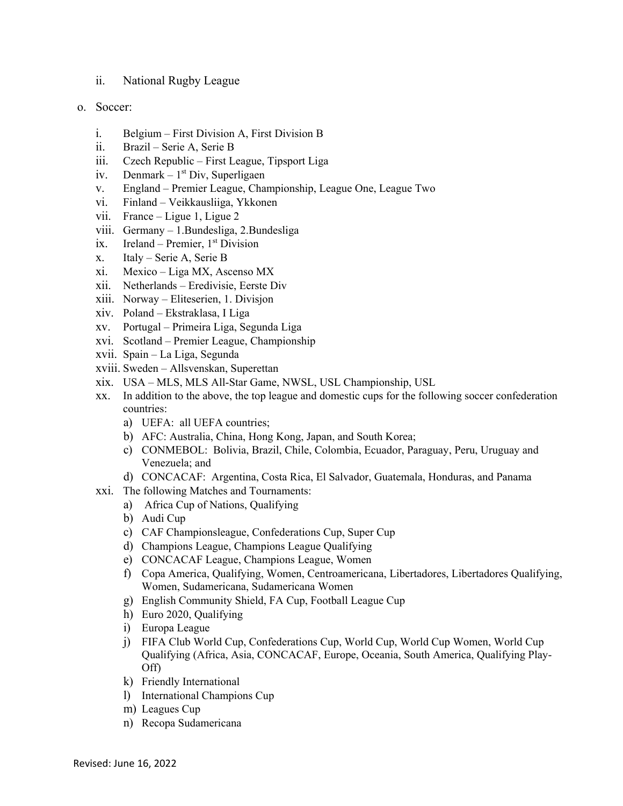- ii. National Rugby League
- o. Soccer:
	- i. Belgium First Division A, First Division B
	- ii. Brazil Serie A, Serie B
	- iii. Czech Republic First League, Tipsport Liga
	- iv. Denmark  $1<sup>st</sup>$  Div, Superligaen
	- v. England Premier League, Championship, League One, League Two
	- vi. Finland Veikkausliiga, Ykkonen
	- vii. France Ligue 1, Ligue 2
	- viii. Germany 1.Bundesliga, 2.Bundesliga
	- ix. Ireland Premier,  $1<sup>st</sup> Division$
	- x. Italy Serie A, Serie B
	- xi. Mexico Liga MX, Ascenso MX
	- xii. Netherlands Eredivisie, Eerste Div
	- xiii. Norway Eliteserien, 1. Divisjon
	- xiv. Poland Ekstraklasa, I Liga
	- xv. Portugal Primeira Liga, Segunda Liga
	- xvi. Scotland Premier League, Championship
	- xvii. Spain La Liga, Segunda
	- xviii. Sweden Allsvenskan, Superettan
	- xix. USA MLS, MLS All-Star Game, NWSL, USL Championship, USL
	- xx. In addition to the above, the top league and domestic cups for the following soccer confederation countries:
		- a) UEFA: all UEFA countries;
		- b) AFC: Australia, China, Hong Kong, Japan, and South Korea;
		- c) CONMEBOL: Bolivia, Brazil, Chile, Colombia, Ecuador, Paraguay, Peru, Uruguay and Venezuela; and
		- d) CONCACAF: Argentina, Costa Rica, El Salvador, Guatemala, Honduras, and Panama
	- xxi. The following Matches and Tournaments:
		- a) Africa Cup of Nations, Qualifying
		- b) Audi Cup
		- c) CAF Championsleague, Confederations Cup, Super Cup
		- d) Champions League, Champions League Qualifying
		- e) CONCACAF League, Champions League, Women
		- f) Copa America, Qualifying, Women, Centroamericana, Libertadores, Libertadores Qualifying, Women, Sudamericana, Sudamericana Women
		- g) English Community Shield, FA Cup, Football League Cup
		- h) Euro 2020, Qualifying
		- i) Europa League
		- j) FIFA Club World Cup, Confederations Cup, World Cup, World Cup Women, World Cup Qualifying (Africa, Asia, CONCACAF, Europe, Oceania, South America, Qualifying Play-Off)
		- k) Friendly International
		- l) International Champions Cup
		- m) Leagues Cup
		- n) Recopa Sudamericana